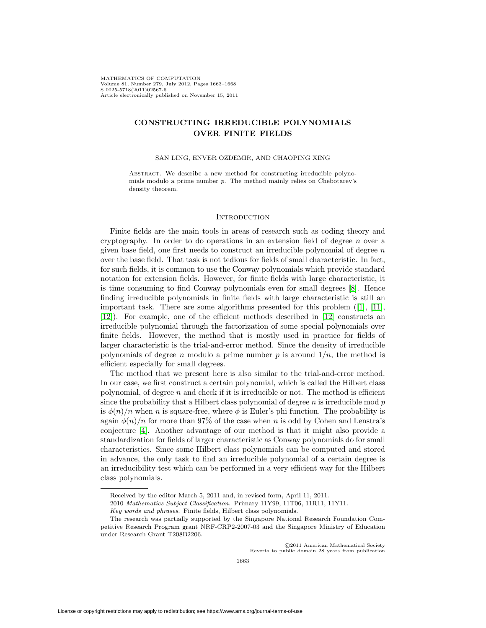MATHEMATICS OF COMPUTATION Volume 81, Number 279, July 2012, Pages 1663–1668 S 0025-5718(2011)02567-6 Article electronically published on November 15, 2011

# **CONSTRUCTING IRREDUCIBLE POLYNOMIALS OVER FINITE FIELDS**

SAN LING, ENVER OZDEMIR, AND CHAOPING XING

ABSTRACT. We describe a new method for constructing irreducible polynomials modulo a prime number p. The method mainly relies on Chebotarev's density theorem.

### **INTRODUCTION**

Finite fields are the main tools in areas of research such as coding theory and cryptography. In order to do operations in an extension field of degree  $n$  over a given base field, one first needs to construct an irreducible polynomial of degree  $n$ over the base field. That task is not tedious for fields of small characteristic. In fact, for such fields, it is common to use the Conway polynomials which provide standard notation for extension fields. However, for finite fields with large characteristic, it is time consuming to find Conway polynomials even for small degrees [\[8\]](#page-4-0). Hence finding irreducible polynomials in finite fields with large characteristic is still an important task. There are some algorithms presented for this problem  $([1], [1],$  $([1], [1],$  $([1], [1],$ [\[12\]](#page-4-3)). For example, one of the efficient methods described in [\[12\]](#page-4-3) constructs an irreducible polynomial through the factorization of some special polynomials over finite fields. However, the method that is mostly used in practice for fields of larger characteristic is the trial-and-error method. Since the density of irreducible polynomials of degree n modulo a prime number p is around  $1/n$ , the method is efficient especially for small degrees.

The method that we present here is also similar to the trial-and-error method. In our case, we first construct a certain polynomial, which is called the Hilbert class polynomial, of degree  $n$  and check if it is irreducible or not. The method is efficient since the probability that a Hilbert class polynomial of degree  $n$  is irreducible mod  $p$ is  $\phi(n)/n$  when n is square-free, where  $\phi$  is Euler's phi function. The probability is again  $\phi(n)/n$  for more than 97% of the case when n is odd by Cohen and Lenstra's conjecture [\[4\]](#page-4-4). Another advantage of our method is that it might also provide a standardization for fields of larger characteristic as Conway polynomials do for small characteristics. Since some Hilbert class polynomials can be computed and stored in advance, the only task to find an irreducible polynomial of a certain degree is an irreducibility test which can be performed in a very efficient way for the Hilbert class polynomials.

C2011 American Mathematical Society)<br>Reverts to public domain 28 years from publication c 2011 American Mathematical Society

Received by the editor March 5, 2011 and, in revised form, April 11, 2011.

<sup>2010</sup> Mathematics Subject Classification. Primary 11Y99, 11T06, 11R11, 11Y11.

Key words and phrases. Finite fields, Hilbert class polynomials.

The research was partially supported by the Singapore National Research Foundation Competitive Research Program grant NRF-CRP2-2007-03 and the Singapore Ministry of Education under Research Grant T208B2206.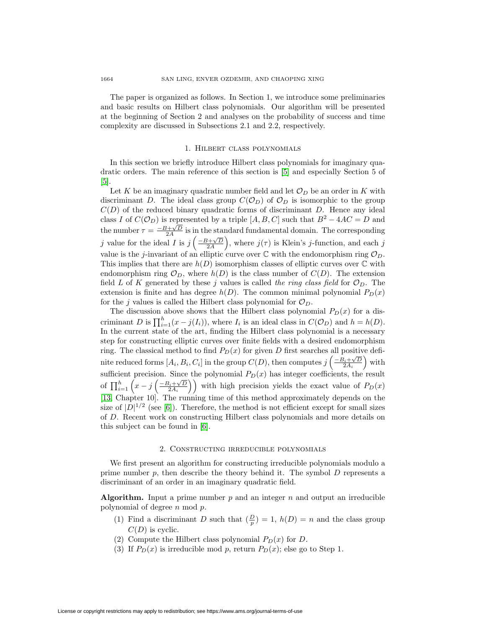The paper is organized as follows. In Section 1, we introduce some preliminaries and basic results on Hilbert class polynomials. Our algorithm will be presented at the beginning of Section 2 and analyses on the probability of success and time complexity are discussed in Subsections 2.1 and 2.2, respectively.

## 1. Hilbert class polynomials

In this section we briefly introduce Hilbert class polynomials for imaginary quadratic orders. The main reference of this section is [\[5\]](#page-4-5) and especially Section 5 of [\[5\]](#page-4-5).

Let K be an imaginary quadratic number field and let  $\mathcal{O}_D$  be an order in K with discriminant D. The ideal class group  $C(\mathcal{O}_D)$  of  $\mathcal{O}_D$  is isomorphic to the group  $C(D)$  of the reduced binary quadratic forms of discriminant D. Hence any ideal class I of  $C(\mathcal{O}_D)$  is represented by a triple [A, B, C] such that  $B^2 - 4AC = D$  and the number  $\tau = \frac{-B+\sqrt{D}}{2A}$  is in the standard fundamental domain. The corresponding j value for the ideal I is  $j\left(\frac{-B+\sqrt{D}}{2A}\right)$ , where  $j(\tau)$  is Klein's j-function, and each j value is the j-invariant of an elliptic curve over  $\mathbb C$  with the endomorphism ring  $\mathcal O_D$ . This implies that there are  $h(D)$  isomorphism classes of elliptic curves over  $\mathbb C$  with endomorphism ring  $\mathcal{O}_D$ , where  $h(D)$  is the class number of  $C(D)$ . The extension field L of K generated by these j values is called the ring class field for  $\mathcal{O}_D$ . The extension is finite and has degree  $h(D)$ . The common minimal polynomial  $P_D(x)$ for the j values is called the Hilbert class polynomial for  $\mathcal{O}_D$ .

The discussion above shows that the Hilbert class polynomial  $P_D(x)$  for a discriminant D is  $\prod_{i=1}^{h} (x - j(I_i))$ , where  $I_i$  is an ideal class in  $C(\mathcal{O}_D)$  and  $h = h(D)$ . In the current state of the art, finding the Hilbert class polynomial is a necessary step for constructing elliptic curves over finite fields with a desired endomorphism ring. The classical method to find  $P_D(x)$  for given D first searches all positive definite reduced forms  $[A_i, B_i, C_i]$  in the group  $C(D)$ , then computes  $j\left(\frac{-B_i + \sqrt{D}}{2A_i}\right)$  with sufficient precision. Since the polynomial  $P_D(x)$  has integer coefficients, the result of  $\prod_{i=1}^{h} (x - j\left(\frac{-B_i + \sqrt{D}}{2A_i}\right))$  with high precision yields the exact value of  $P_D(x)$ [\[13,](#page-4-6) Chapter 10]. The running time of this method approximately depends on the size of  $|D|^{1/2}$  (see [\[6\]](#page-4-7)). Therefore, the method is not efficient except for small sizes of D. Recent work on constructing Hilbert class polynomials and more details on this subject can be found in [\[6\]](#page-4-7).

#### 2. Constructing irreducible polynomials

We first present an algorithm for constructing irreducible polynomials modulo a prime number  $p$ , then describe the theory behind it. The symbol  $D$  represents a discriminant of an order in an imaginary quadratic field.

**Algorithm.** Input a prime number  $p$  and an integer  $n$  and output an irreducible polynomial of degree  $n \mod p$ .

- (1) Find a discriminant D such that  $(\frac{D}{p}) = 1$ ,  $h(D) = n$  and the class group  $C(D)$  is cyclic.
- (2) Compute the Hilbert class polynomial  $P_D(x)$  for D.
- (3) If  $P_D(x)$  is irreducible mod p, return  $P_D(x)$ ; else go to Step 1.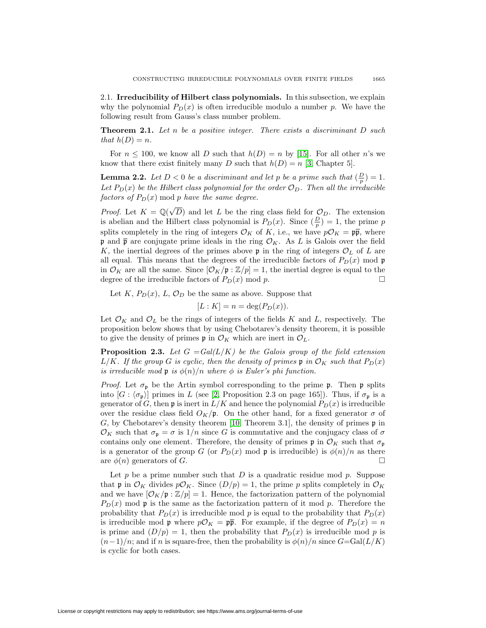2.1. **Irreducibility of Hilbert class polynomials.** In this subsection, we explain why the polynomial  $P_D(x)$  is often irreducible modulo a number p. We have the following result from Gauss's class number problem.

**Theorem 2.1.** Let n be a positive integer. There exists a discriminant D such that  $h(D) = n$ .

For  $n \le 100$ , we know all D such that  $h(D) = n$  by [\[15\]](#page-5-0). For all other n's we know that there exist finitely many D such that  $h(D) = n$  [\[3,](#page-4-8) Chapter 5].

**Lemma 2.2.** Let  $D < 0$  be a discriminant and let p be a prime such that  $(\frac{D}{p}) = 1$ . Let  $P_D(x)$  be the Hilbert class polynomial for the order  $\mathcal{O}_D$ . Then all the irreducible factors of  $P_D(x)$  mod p have the same degree.

*Proof.* Let  $K = \mathbb{Q}(\sqrt{D})$  and let L be the ring class field for  $\mathcal{O}_D$ . The extension is abelian and the Hilbert class polynomial is  $P_D(x)$ . Since  $(\frac{D}{p}) = 1$ , the prime p splits completely in the ring of integers  $\mathcal{O}_K$  of K, i.e., we have  $p\mathcal{O}_K = p\overline{p}$ , where p and  $\bar{p}$  are conjugate prime ideals in the ring  $\mathcal{O}_K$ . As L is Galois over the field K, the inertial degrees of the primes above  $\mathfrak p$  in the ring of integers  $\mathcal O_L$  of L are all equal. This means that the degrees of the irreducible factors of  $P_D(x)$  mod  $\mathfrak{p}$ in  $\mathcal{O}_K$  are all the same. Since  $[\mathcal{O}_K/\mathfrak{p} : \mathbb{Z}/p] = 1$ , the inertial degree is equal to the degree of the irreducible factors of  $P_D(x)$  mod n. degree of the irreducible factors of  $P_D(x) \mod p$ .

Let K,  $P_D(x)$ , L,  $\mathcal{O}_D$  be the same as above. Suppose that

$$
[L:K] = n = \deg(P_D(x)).
$$

Let  $\mathcal{O}_K$  and  $\mathcal{O}_L$  be the rings of integers of the fields K and L, respectively. The proposition below shows that by using Chebotarev's density theorem, it is possible to give the density of primes  $\mathfrak{p}$  in  $\mathcal{O}_K$  which are inert in  $\mathcal{O}_L$ .

**Proposition 2.3.** Let  $G = Gal(L/K)$  be the Galois group of the field extension  $L/K$ . If the group G is cyclic, then the density of primes p in  $\mathcal{O}_K$  such that  $P_D(x)$ is irreducible mod **p** is  $\phi(n)/n$  where  $\phi$  is Euler's phi function.

*Proof.* Let  $\sigma_{\mathfrak{p}}$  be the Artin symbol corresponding to the prime  $\mathfrak{p}$ . Then  $\mathfrak{p}$  splits into  $[G: \langle \sigma_{\mathfrak{p}} \rangle]$  primes in L (see [\[2,](#page-4-9) Proposition 2.3 on page 165]). Thus, if  $\sigma_{\mathfrak{p}}$  is a generator of G, then  $\mathfrak p$  is inert in  $L/K$  and hence the polynomial  $P_D(x)$  is irreducible over the residue class field  $O_K/\mathfrak{p}$ . On the other hand, for a fixed generator  $\sigma$  of G, by Chebotarev's density theorem [\[10,](#page-4-10) Theorem 3.1], the density of primes  $\mathfrak p$  in  $\mathcal{O}_K$  such that  $\sigma_p = \sigma$  is  $1/n$  since G is commutative and the conjugacy class of  $\sigma$ contains only one element. Therefore, the density of primes  $\mathfrak p$  in  $\mathcal O_K$  such that  $\sigma_{\mathfrak p}$ is a generator of the group G (or  $P_D(x)$  mod p is irreducible) is  $\phi(n)/n$  as there are  $\phi(n)$  generators of G.

Let  $p$  be a prime number such that  $D$  is a quadratic residue mod  $p$ . Suppose that **p** in  $\mathcal{O}_K$  divides  $p\mathcal{O}_K$ . Since  $(D/p) = 1$ , the prime p splits completely in  $\mathcal{O}_K$ and we have  $[\mathcal{O}_K/\mathfrak{p}:\mathbb{Z}/p]=1$ . Hence, the factorization pattern of the polynomial  $P_D(x)$  mod p is the same as the factorization pattern of it mod p. Therefore the probability that  $P_D(x)$  is irreducible mod p is equal to the probability that  $P_D(x)$ is irreducible mod **p** where  $p\mathcal{O}_K = p\bar{p}$ . For example, if the degree of  $P_D(x) = n$ is prime and  $(D/p) = 1$ , then the probability that  $P_D(x)$  is irreducible mod p is  $(n-1)/n$ ; and if n is square-free, then the probability is  $\phi(n)/n$  since  $G = \text{Gal}(L/K)$ is cyclic for both cases.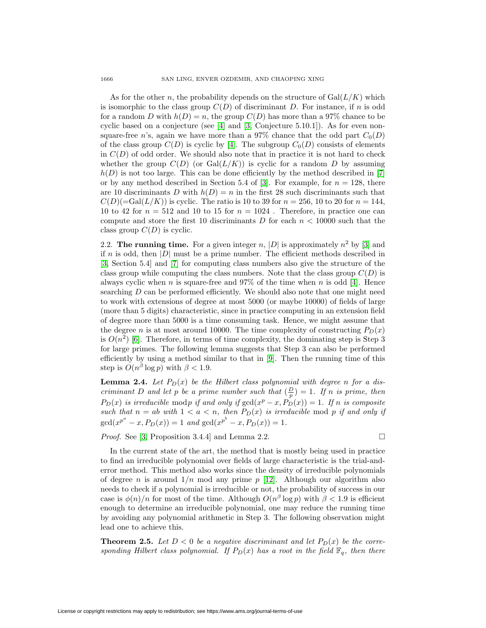As for the other n, the probability depends on the structure of  $Gal(L/K)$  which is isomorphic to the class group  $C(D)$  of discriminant D. For instance, if n is odd for a random D with  $h(D) = n$ , the group  $C(D)$  has more than a 97% chance to be cyclic based on a conjecture (see [\[4\]](#page-4-4) and [\[3,](#page-4-8) Conjecture 5.10.1]). As for even nonsquare-free n's, again we have more than a 97% chance that the odd part  $C_0(D)$ of the class group  $C(D)$  is cyclic by [\[4\]](#page-4-4). The subgroup  $C_0(D)$  consists of elements in  $C(D)$  of odd order. We should also note that in practice it is not hard to check whether the group  $C(D)$  (or  $Gal(L/K)$ ) is cyclic for a random D by assuming  $h(D)$  is not too large. This can be done efficiently by the method described in [\[7\]](#page-4-11) or by any method described in Section 5.4 of [\[3\]](#page-4-8). For example, for  $n = 128$ , there are 10 discriminants D with  $h(D) = n$  in the first 28 such discriminants such that  $C(D)(=\text{Gal}(L/K))$  is cyclic. The ratio is 10 to 39 for  $n = 256$ , 10 to 20 for  $n = 144$ , 10 to 42 for  $n = 512$  and 10 to 15 for  $n = 1024$ . Therefore, in practice one can compute and store the first 10 discriminants D for each  $n < 10000$  such that the class group  $C(D)$  is cyclic.

2.2. **The running time.** For a given integer n,  $|D|$  is approximately  $n^2$  by [\[3\]](#page-4-8) and if n is odd, then  $|D|$  must be a prime number. The efficient methods described in [\[3,](#page-4-8) Section 5.4] and [\[7\]](#page-4-11) for computing class numbers also give the structure of the class group while computing the class numbers. Note that the class group  $C(D)$  is always cyclic when n is square-free and  $97\%$  of the time when n is odd [\[4\]](#page-4-4). Hence searching  $D$  can be performed efficiently. We should also note that one might need to work with extensions of degree at most 5000 (or maybe 10000) of fields of large (more than 5 digits) characteristic, since in practice computing in an extension field of degree more than 5000 is a time consuming task. Hence, we might assume that the degree n is at most around 10000. The time complexity of constructing  $P_D(x)$ is  $O(n^2)$  [\[6\]](#page-4-7). Therefore, in terms of time complexity, the dominating step is Step 3 for large primes. The following lemma suggests that Step 3 can also be performed efficiently by using a method similar to that in [\[9\]](#page-4-12). Then the running time of this step is  $O(n^{\beta} \log p)$  with  $\beta < 1.9$ .

**Lemma 2.4.** Let  $P_D(x)$  be the Hilbert class polynomial with degree n for a discriminant D and let p be a prime number such that  $(\frac{D}{p}) = 1$ . If n is prime, then  $P_D(x)$  is irreducible modp if and only if  $gcd(x^p - x, P_D(x)) = 1$ . If n is composite such that  $n = ab$  with  $1 < a < n$ , then  $P_D(x)$  is irreducible mod p if and only if  $gcd(x^{p^a} - x, P_D(x)) = 1$  and  $gcd(x^{p^b} - x, P_D(x)) = 1$ .

*Proof.* See [\[3,](#page-4-8) Proposition 3.4.4] and Lemma 2.2.

 $\Box$ 

In the current state of the art, the method that is mostly being used in practice to find an irreducible polynomial over fields of large characteristic is the trial-anderror method. This method also works since the density of irreducible polynomials of degree *n* is around  $1/n$  mod any prime  $p$  [\[12\]](#page-4-3). Although our algorithm also needs to check if a polynomial is irreducible or not, the probability of success in our case is  $\phi(n)/n$  for most of the time. Although  $O(n^{\beta} \log p)$  with  $\beta < 1.9$  is efficient enough to determine an irreducible polynomial, one may reduce the running time by avoiding any polynomial arithmetic in Step 3. The following observation might lead one to achieve this.

**Theorem 2.5.** Let  $D < 0$  be a negative discriminant and let  $P_D(x)$  be the corresponding Hilbert class polynomial. If  $P_D(x)$  has a root in the field  $\mathbb{F}_q$ , then there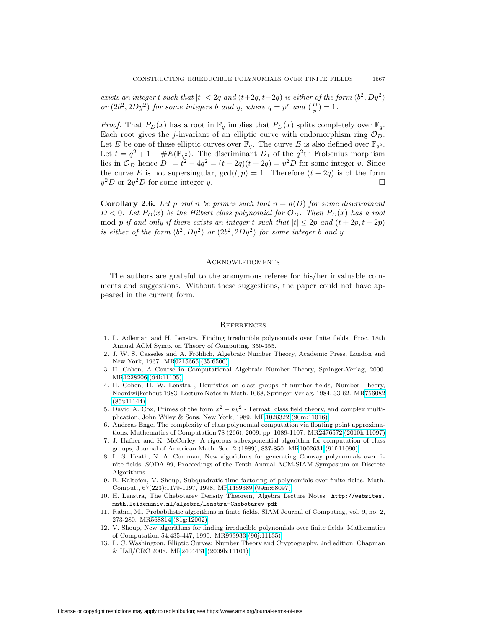exists an integer t such that  $|t| < 2q$  and  $(t+2q, t-2q)$  is either of the form  $(b^2, Dy^2)$ or  $(2b^2, 2Dy^2)$  for some integers b and y, where  $q = p^r$  and  $(\frac{D}{p}) = 1$ .

*Proof.* That  $P_D(x)$  has a root in  $\mathbb{F}_q$  implies that  $P_D(x)$  splits completely over  $\mathbb{F}_q$ . Each root gives the j-invariant of an elliptic curve with endomorphism ring  $\mathcal{O}_D$ . Let E be one of these elliptic curves over  $\mathbb{F}_q$ . The curve E is also defined over  $\mathbb{F}_{q^2}$ . Let  $t = q^2 + 1 - \#E(\mathbb{F}_{q^2})$ . The discriminant  $D_1$  of the  $q^2$ th Frobenius morphism lies in  $\mathcal{O}_D$  hence  $D_1 = t^2 - 4q^2 = (t - 2q)(t + 2q) = v^2D$  for some integer v. Since the curve E is not supersingular,  $gcd(t, p) = 1$ . Therefore  $(t - 2q)$  is of the form  $u^2D$  or  $2u^2D$  for some integer v.  $y^2D$  or  $2y^2D$  for some integer y.

**Corollary 2.6.** Let p and n be primes such that  $n = h(D)$  for some discriminant  $D < 0$ . Let  $P_D(x)$  be the Hilbert class polynomial for  $\mathcal{O}_D$ . Then  $P_D(x)$  has a root mod p if and only if there exists an integer t such that  $|t| \leq 2p$  and  $(t + 2p, t - 2p)$ is either of the form  $(b^2, Dy^2)$  or  $(2b^2, 2Dy^2)$  for some integer b and y.

## **ACKNOWLEDGMENTS**

The authors are grateful to the anonymous referee for his/her invaluable comments and suggestions. Without these suggestions, the paper could not have appeared in the current form.

#### **REFERENCES**

- <span id="page-4-1"></span>1. L. Adleman and H. Lenstra, Finding irreducible polynomials over finite fields, Proc. 18th Annual ACM Symp. on Theory of Computing, 350-355.
- <span id="page-4-9"></span>2. J. W. S. Casseles and A. Fröhlich, Algebraic Number Theory, Academic Press, London and New York, 1967. M[R0215665 \(35:6500\)](http://www.ams.org/mathscinet-getitem?mr=0215665)
- <span id="page-4-8"></span>3. H. Cohen, A Course in Computational Algebraic Number Theory, Springer-Verlag, 2000. M[R1228206 \(94i:11105\)](http://www.ams.org/mathscinet-getitem?mr=1228206)
- <span id="page-4-4"></span>4. H. Cohen, H. W. Lenstra , Heuristics on class groups of number fields, Number Theory, Noordwijkerhout 1983, Lecture Notes in Math. 1068, Springer-Verlag, 1984, 33-62. M[R756082](http://www.ams.org/mathscinet-getitem?mr=756082) [\(85j:11144\)](http://www.ams.org/mathscinet-getitem?mr=756082)
- <span id="page-4-5"></span>5. David A. Cox, Primes of the form  $x^2 + ny^2$  - Fermat, class field theory, and complex multiplication, John Wiley & Sons, New York, 1989. M[R1028322 \(90m:11016\)](http://www.ams.org/mathscinet-getitem?mr=1028322)
- <span id="page-4-7"></span>6. Andreas Enge, The complexity of class polynomial computation via floating point approximations. Mathematics of Computation 78 (266), 2009, pp. 1089-1107. M[R2476572 \(2010h:11097\)](http://www.ams.org/mathscinet-getitem?mr=2476572)
- <span id="page-4-11"></span>7. J. Hafner and K. McCurley, A rigorous subexponential algorithm for computation of class groups, Journal of American Math. Soc. 2 (1989), 837-850. M[R1002631 \(91f:11090\)](http://www.ams.org/mathscinet-getitem?mr=1002631)
- <span id="page-4-0"></span>8. L. S. Heath, N. A. Comman, New algorithms for generating Conway polynomials over finite fields, SODA 99, Proceedings of the Tenth Annual ACM-SIAM Symposium on Discrete Algorithms.
- <span id="page-4-12"></span>9. E. Kaltofen, V. Shoup, Subquadratic-time factoring of polynomials over finite fields. Math. Comput., 67(223):1179-1197, 1998. M[R1459389 \(99m:68097\)](http://www.ams.org/mathscinet-getitem?mr=1459389)
- <span id="page-4-10"></span>10. H. Lenstra, The Chebotarev Density Theorem, Algebra Lecture Notes: [http://websites.](http://websites.math.leidenuniv.nl/algebra/Lenstra-Chebotarev.pdf) [math.leidenuniv.nl/algebra/Lenstra-Chebotarev.pdf](http://websites.math.leidenuniv.nl/algebra/Lenstra-Chebotarev.pdf)
- <span id="page-4-2"></span>11. Rabin, M., Probabilistic algorithms in finite fields, SIAM Journal of Computing, vol. 9, no. 2, 273-280. M[R568814 \(81g:12002\)](http://www.ams.org/mathscinet-getitem?mr=568814)
- <span id="page-4-3"></span>12. V. Shoup, New algorithms for finding irreducible polynomials over finite fields, Mathematics of Computation 54:435-447, 1990. M[R993933 \(90j:11135\)](http://www.ams.org/mathscinet-getitem?mr=993933)
- <span id="page-4-6"></span>13. L. C. Washington, Elliptic Curves: Number Theory and Cryptography, 2nd edition. Chapman & Hall/CRC 2008. M[R2404461 \(2009b:11101\)](http://www.ams.org/mathscinet-getitem?mr=2404461)